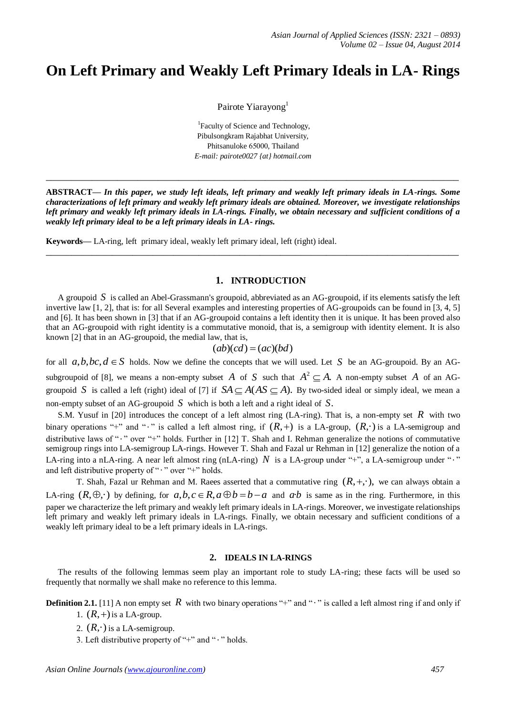# **On Left Primary and Weakly Left Primary Ideals in LA- Rings**

Pairote Yiarayong<sup>1</sup>

<sup>1</sup>Faculty of Science and Technology, Pibulsongkram Rajabhat University, Phitsanuloke 65000, Thailand *E-mail: pairote0027 {at} hotmail.com*

**ABSTRACT—** *In this paper, we study left ideals, left primary and weakly left primary ideals in LA-rings. Some characterizations of left primary and weakly left primary ideals are obtained. Moreover, we investigate relationships left primary and weakly left primary ideals in LA-rings. Finally, we obtain necessary and sufficient conditions of a weakly left primary ideal to be a left primary ideals in LA- rings.*

**\_\_\_\_\_\_\_\_\_\_\_\_\_\_\_\_\_\_\_\_\_\_\_\_\_\_\_\_\_\_\_\_\_\_\_\_\_\_\_\_\_\_\_\_\_\_\_\_\_\_\_\_\_\_\_\_\_\_\_\_\_\_\_\_\_\_\_\_\_\_\_\_\_\_\_\_\_\_\_\_\_**

**\_\_\_\_\_\_\_\_\_\_\_\_\_\_\_\_\_\_\_\_\_\_\_\_\_\_\_\_\_\_\_\_\_\_\_\_\_\_\_\_\_\_\_\_\_\_\_\_\_\_\_\_\_\_\_\_\_\_\_\_\_\_\_\_\_\_\_\_\_\_\_\_\_\_\_\_\_\_\_\_\_**

**Keywords—** LA-ring, left primary ideal, weakly left primary ideal, left (right) ideal.

# **1. INTRODUCTION**

A groupoid *S* is called an Abel-Grassmann's groupoid, abbreviated as an AG-groupoid, if its elements satisfy the left invertive law [1, 2], that is: for all Several examples and interesting properties of AG-groupoids can be found in [3, 4, 5] and [6]. It has been shown in [3] that if an AG-groupoid contains a left identity then it is unique. It has been proved also that an AG-groupoid with right identity is a commutative monoid, that is, a semigroup with identity element. It is also known [2] that in an AG-groupoid, the medial law, that is,

$$
(ab)(cd) = (ac)(bd)
$$

for all  $a, b, bc, d \in S$  holds. Now we define the concepts that we will used. Let S be an AG-groupoid. By an AGsubgroupoid of [8], we means a non-empty subset A of S such that  $A^2 \subseteq A$ . A non-empty subset A of an AGgroupoid S is called a left (right) ideal of [7] if  $SA \subseteq A(AS \subseteq A)$ . By two-sided ideal or simply ideal, we mean a non-empty subset of an AG-groupoid *S* which is both a left and a right ideal of *S*.

S.M. Yusuf in [20] introduces the concept of a left almost ring (LA-ring). That is, a non-empty set  $R$  with two binary operations "+" and "·" is called a left almost ring, if  $(R,+)$  is a LA-group,  $(R, \cdot)$  is a LA-semigroup and distributive laws of "·" over "+" holds. Further in [12] T. Shah and I. Rehman generalize the notions of commutative semigroup rings into LA-semigroup LA-rings. However T. Shah and Fazal ur Rehman in [12] generalize the notion of a LA-ring into a nLA-ring. A near left almost ring (nLA-ring)  $N$  is a LA-group under "+", a LA-semigroup under " $\cdot$ " and left distributive property of " $\cdot$  " over "+" holds.

T. Shah, Fazal ur Rehman and M. Raees asserted that a commutative ring  $(R, +, \cdot)$ , we can always obtain a LA-ring  $(R, \oplus, \cdot)$  by defining, for  $a, b, c \in R$ ,  $a \oplus b = b - a$  and  $a \cdot b$  is same as in the ring. Furthermore, in this paper we characterize the left primary and weakly left primary ideals in LA-rings. Moreover, we investigate relationships left primary and weakly left primary ideals in LA-rings. Finally, we obtain necessary and sufficient conditions of a weakly left primary ideal to be a left primary ideals in LA-rings.

### **2. IDEALS IN LA-RINGS**

The results of the following lemmas seem play an important role to study LA-ring; these facts will be used so frequently that normally we shall make no reference to this lemma.

**Definition 2.1.** [11] A non empty set  $R$  with two binary operations "+" and " $\cdot$ " is called a left almost ring if and only if 1.  $(R,+)$  is a LA-group.

- 2.  $(R, \cdot)$  is a LA-semigroup.
- 3. Left distributive property of "+" and " $\cdot$ " holds.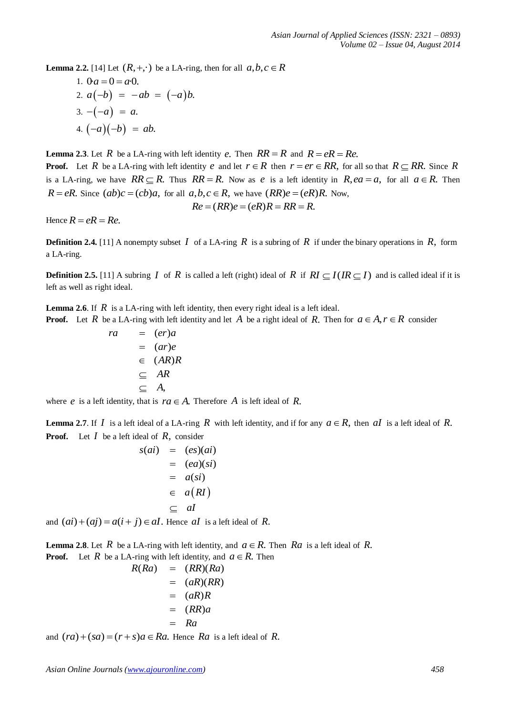**Lemma 2.2.** [14] Let  $(R, +, \cdot)$  be a LA-ring, then for all  $a, b, c \in R$ 

1. 
$$
0a = 0 = a \cdot 0
$$
.  
\n2.  $a(-b) = -ab = (-a)b$ .  
\n3.  $-(-a) = a$ .  
\n4.  $(-a)(-b) = ab$ .

**Lemma 2.3**. Let R be a LA-ring with left identity e. Then  $RR = R$  and  $R = eR = Re$ . **Proof.** Let R be a LA-ring with left identity e and let  $r \in R$  then  $r = er \in RR$ , for all so that  $R \subseteq RR$ . Since R is a LA-ring, we have  $RR \subseteq R$ . Thus  $RR = R$ . Now as e is a left identity in  $R$ ,  $ea = a$ , for all  $a \in R$ . Then  $R = eR$ . Since  $(ab)c = (cb)a$ , for all  $a, b, c \in R$ , we have  $(RR)e = (eR)R$ . Now,<br> $Re = (RR)e = (eR)R = RR = R$ .

$$
Re = (RR)e = (eR)R = RR = R
$$

Hence  $R = eR = Re$ .

**Definition 2.4.** [11] A nonempty subset  $I$  of a LA-ring  $R$  is a subring of  $R$  if under the binary operations in  $R$ , form a LA-ring.

**Definition 2.5.** [11] A subring  $I$  of  $R$  is called a left (right) ideal of  $R$  if  $RI \subseteq I$  ( $IR \subseteq I$ ) and is called ideal if it is left as well as right ideal.

**Lemma 2.6**. If  $R$  is a LA-ring with left identity, then every right ideal is a left ideal. **Proof.** Let R be a LA-ring with left identity and let A be a right ideal of R. Then for  $a \in A, r \in R$  consider

$$
ra = (er)a
$$
  
=  $(ar)e$   
 $\in (AR)R$   
 $\subseteq AR$   
 $\subseteq A$ ,

where *e* is a left identity, that is  $ra \in A$ . Therefore *A* is left ideal of *R*.

**Lemma 2.7**. If  $I$  is a left ideal of a LA-ring  $R$  with left identity, and if for any  $a \in R$ , then  $aI$  is a left ideal of  $R$ . **Proof.** Let  $I$  be a left ideal of  $R$ , consider

$$
s(ai) = (es)(ai)
$$
  
= (ea)(si)  
= a(si)  

$$
= a(RI)
$$
  

$$
\subseteq al
$$

and  $(ai) + (aj) = a(i + j) \in aI$ . Hence al is a left ideal of R.

**Lemma 2.8**. Let R be a LA-ring with left identity, and  $a \in R$ . Then Ra is a left ideal of R. **Proof.** Let R be a LA-ring with left identity, and  $a \in R$ . Then

$$
R(Ra) = (RR)(Ra)
$$
  
=  $(aR)(RR)$   
=  $(aR)R$   
=  $(RR)a$   
=  $Ra$ 

and  $(ra) + (sa) = (r + s)a \in Ra$ . Hence  $Ra$  is a left ideal of R.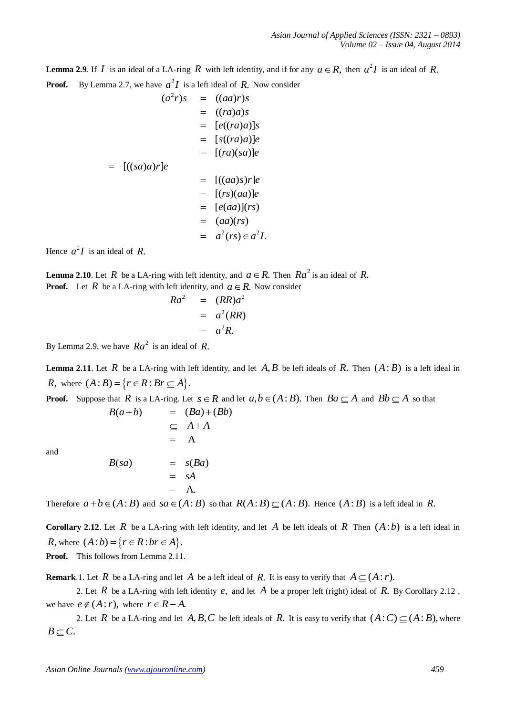**Lemma 2.9**. If  $I$  is an ideal of a LA-ring  $R$  with left identity, and if for any  $a \in R$ , then  $a^2I$  is an ideal of  $R$ . **Proof.** By Lemma 2.7, we have  $a^2I$  is a left ideal of R. Now consider

$$
(a2r)s = ((aa)r)s
$$
  
\n
$$
= ((ra)a)s
$$
  
\n
$$
= [e((ra)a)]s
$$
  
\n
$$
= [s((ra)a)]e
$$
  
\n
$$
= [(ra)(sa)]e
$$
  
\n
$$
= [(ra)(sa)]e
$$
  
\n
$$
= [(ca)s)r]e
$$
  
\n
$$
= [(rs)(aa)]e
$$
  
\n
$$
= [e(aa)](rs)
$$
  
\n
$$
= (aa)(rs)
$$
  
\n
$$
= a2(rs) \in a2I.
$$

Hence  $a^2I$  is an ideal of R.

**Lemma 2.10**. Let R be a LA-ring with left identity, and  $a \in R$ . Then  $Ra^2$  is an ideal of R. **Proof.** Let  $R$  be a LA-ring with left identity, and  $a \in R$ . Now consider

$$
Ra2 = (RR)a2
$$
  
=  $a2(RR)$   
=  $a2R$ .

By Lemma 2.9, we have  $Ra^2$  is an ideal of R.

**Lemma 2.11**. Let  $R$  be a LA-ring with left identity, and let  $A, B$  be left ideals of  $R$ . Then  $(A:B)$  is a left ideal in *R*, where  $(A:B) = \{r \in R : Br \subseteq A\}.$ 

**Proof.** Suppose that R is a LA-ring. Let  $s \in R$  and let  $a, b \in (A : B)$ . Then  $Ba \subseteq A$  and  $Bb \subseteq A$  so that  $B(a+b)$  =  $(Ba)+(Bb)$ 

and

$$
B(sa) = s(Ba) \n= sA \n= A.
$$

 $\subseteq$   $A+A$  $= A$ 

Therefore  $a+b \in (A:B)$  and  $sa \in (A:B)$  so that  $R(A:B) \subseteq (A:B)$ . Hence  $(A:B)$  is a left ideal in R.

**Corollary 2.12**. Let R be a LA-ring with left identity, and let A be left ideals of R Then  $(A:b)$  is a left ideal in *R*, where  $(A:b) = \{r \in R : br \in A\}.$ Proof. This follows from Lemma 2.11.

**Remark**.1. Let R be a LA-ring and let A be a left ideal of R. It is easy to verify that  $A \subseteq (A : r)$ .

2. Let  $R$  be a LA-ring with left identity  $e$ , and let  $A$  be a proper left (right) ideal of  $R$ . By Corollary 2.12, we have  $e \notin (A : r)$ , where  $r \in R - A$ .

2. Let R be a LA-ring and let  $A, B, C$  be left ideals of R. It is easy to verify that  $(A:C) \subseteq (A:B)$ , where  $B \subset C$ .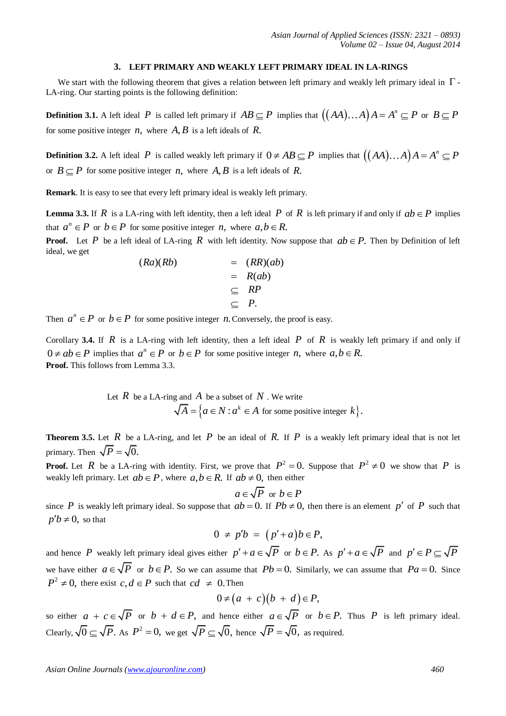#### **3. LEFT PRIMARY AND WEAKLY LEFT PRIMARY IDEAL IN LA-RINGS**

We start with the following theorem that gives a relation between left primary and weakly left primary ideal in  $\Gamma$ -LA-ring. Our starting points is the following definition:

**Definition 3.1.** A left ideal P is called left primary if  $AB \subseteq P$  implies that  $((AA)...A)A = A^n \subseteq P$  or  $B \subseteq P$ for some positive integer  $n$ , where  $A, B$  is a left ideals of  $R$ .

**Definition 3.2.** A left ideal P is called weakly left primary if  $0 \neq AB \subseteq P$  implies that  $((AA)...A)A = A^n \subseteq P$ or  $B \subseteq P$  for some positive integer *n*, where *A*, *B* is a left ideals of *R*.

**Remark**. It is easy to see that every left primary ideal is weakly left primary.

**Lemma 3.3.** If  $R$  is a LA-ring with left identity, then a left ideal  $P$  of  $R$  is left primary if and only if  $ab \in P$  implies that  $a^n \in P$  or  $b \in P$  for some positive integer *n*, where  $a, b \in R$ .

**Proof.** Let P be a left ideal of LA-ring R with left identity. Now suppose that  $ab \in P$ . Then by Definition of left ideal, we get

$$
(Ra)(Rb) = (RR)(ab)
$$
  
= R(ab)  
= RP  

$$
\subseteq P.
$$

Then  $a^n \in P$  or  $b \in P$  for some positive integer *n*. Conversely, the proof is easy.

Corollary 3.4. If  $R$  is a LA-ring with left identity, then a left ideal  $P$  of  $R$  is weakly left primary if and only if  $0 \neq ab \in P$  implies that  $a^n \in P$  or  $b \in P$  for some positive integer *n*, where  $a, b \in R$ . **Proof.** This follows from Lemma 3.3.

Let *R* be a LA-ring and *A* be a subset of *N*. We write  
\n
$$
\sqrt{A} = \{a \in N : a^k \in A \text{ for some positive integer } k\}.
$$

**Theorem 3.5.** Let  $R$  be a LA-ring, and let  $P$  be an ideal of  $R$ . If  $P$  is a weakly left primary ideal that is not let primary. Then  $\sqrt{P} = \sqrt{0}$ .

**Proof.** Let R be a LA-ring with identity. First, we prove that  $P^2 = 0$ . Suppose that  $P^2 \neq 0$  we show that P is weakly left primary. Let  $ab \in P$ , where  $a, b \in R$ . If  $ab \neq 0$ , then either

$$
a \in \sqrt{P} \text{ or } b \in P
$$

since P is weakly left primary ideal. So suppose that  $ab = 0$ . If  $Pb \neq 0$ , then there is an element p' of P such that  $p'b \neq 0$ , so that

$$
0 \neq p'b = (p'+a)b \in P,
$$

and hence P weakly left primary ideal gives either  $p' + a \in \sqrt{P}$  or  $b \in P$ . As  $p' + a \in \sqrt{P}$  and  $p' \in P \subseteq \sqrt{P}$ we have either  $a \in \sqrt{P}$  or  $b \in P$ . So we can assume that  $Pb = 0$ . Similarly, we can assume that  $Pa = 0$ . Since  $P^2 \neq 0$ , there exist  $c, d \in P$  such that  $cd \neq 0$ . Then

$$
0\neq (a + c)(b + d)\in P,
$$

so either  $a + c \in \sqrt{P}$  or  $b + d \in P$ , and hence either  $a \in \sqrt{P}$  or  $b \in P$ . Thus P is left primary ideal. Clearly,  $\sqrt{0} \subseteq \sqrt{P}$ . As  $P^2 = 0$ , we get  $\sqrt{P} \subseteq \sqrt{0}$ , hence  $\sqrt{P} = \sqrt{0}$ , as required.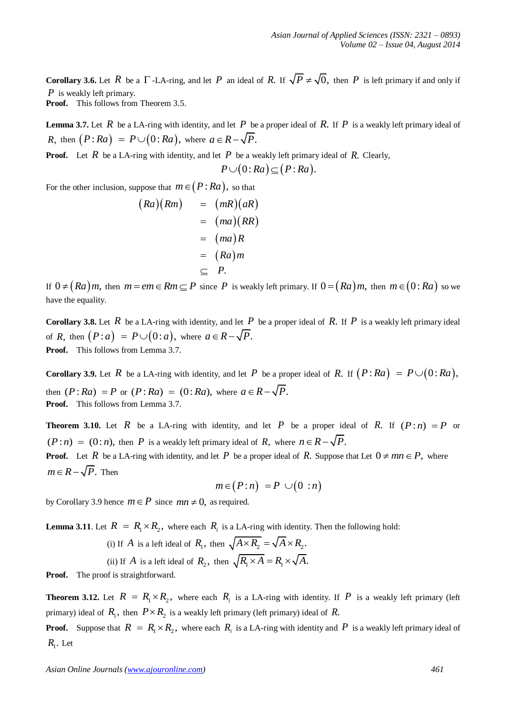**Corollary 3.6.** Let R be a  $\Gamma$ -LA-ring, and let P an ideal of R. If  $\sqrt{P} \neq \sqrt{0}$ , then P is left primary if and only if *P* is weakly left primary.

**Proof.** This follows from Theorem 3.5.

**Lemma 3.7.** Let  $R$  be a LA-ring with identity, and let  $P$  be a proper ideal of  $R$ . If  $P$  is a weakly left primary ideal of *R*, then  $(P:Ra) = P \cup (0:Ra)$ , where  $a \in R - \sqrt{P}$ .

**Proof.** Let  $R$  be a LA-ring with identity, and let  $P$  be a weakly left primary ideal of  $R$ . Clearly,

$$
P\cup(0:Ra)\subseteq (P:Ra).
$$

For the other inclusion, suppose that  $m \in (P : Ra)$ , so that

$$
(Ra)(Rm) = (mR)(aR)
$$
  
= (ma)(RR)  
= (ma)R  
= (Ra)m  
= (Ra)m  
= P.

If  $0 \neq (Ra)m$ , then  $m = em \in Rm \subseteq P$  since P is weakly left primary. If  $0 = (Ra)m$ , then  $m \in (0:Ra)$  so we have the equality.

**Corollary 3.8.** Let  $R$  be a LA-ring with identity, and let  $P$  be a proper ideal of  $R$ . If  $P$  is a weakly left primary ideal of *R*, then  $(P : a) = P \cup (0 : a)$ , where  $a \in R - \sqrt{P}$ . Proof. This follows from Lemma 3.7.

**Corollary 3.9.** Let  $R$  be a LA-ring with identity, and let  $P$  be a proper ideal of  $R$ . If  $(P:Ra) = P \cup (0:Ra)$ , then  $(P:Ra) = P$  or  $(P:Ra) = (0:Ra)$ , where  $a \in R - \sqrt{P}$ . **Proof.** This follows from Lemma 3.7.

**Theorem 3.10.** Let  $R$  be a LA-ring with identity, and let  $P$  be a proper ideal of  $R$ . If  $(P:n) = P$  or  $(P:n) = (0:n)$ , then P is a weakly left primary ideal of R, where  $n \in R - \sqrt{P}$ . **Proof.** Let R be a LA-ring with identity, and let P be a proper ideal of R. Suppose that Let  $0 \neq mn \in P$ , where  $m \in R - \sqrt{P}$ . Then

$$
m\!\in\!\left(P\!:\!n\right)\;=P\;\cup\!\left(0\;:n\right)
$$

by Corollary 3.9 hence  $m \in P$  since  $mn \neq 0$ , as required.

**Lemma 3.11**. Let  $R = R_1 \times R_2$ , where each  $R_i$  is a LA-ring with identity. Then the following hold:

(i) If A is a left ideal of 
$$
R_1
$$
, then  $\sqrt{A \times R_2} = \sqrt{A} \times R_2$ .  
\n(ii) If A is a left ideal of  $R_2$ , then  $\sqrt{R_1 \times A} = R_1 \times \sqrt{A}$ .

**Proof.** The proof is straightforward.

**Theorem 3.12.** Let  $R = R_1 \times R_2$ , where each  $R_i$  is a LA-ring with identity. If P is a weakly left primary (left primary) ideal of  $R_1$ , then  $P \times R_2$  is a weakly left primary (left primary) ideal of R.

**Proof.** Suppose that  $R = R_1 \times R_2$ , where each  $R_i$  is a LA-ring with identity and P is a weakly left primary ideal of  $R_{\rm l}$ . Let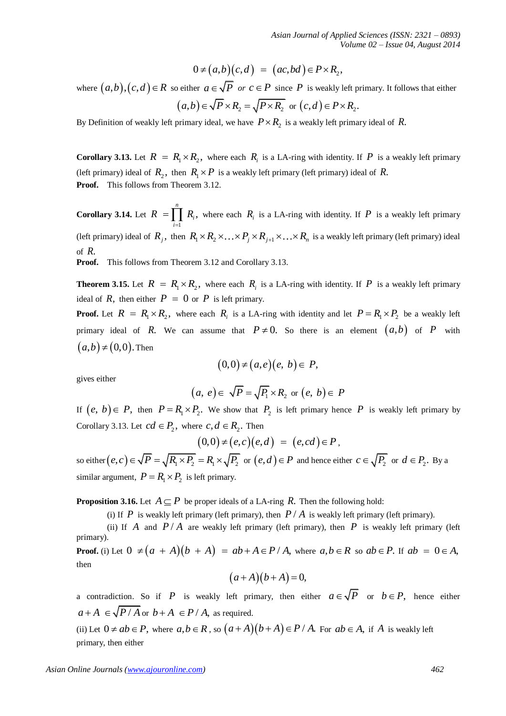$$
0 \neq (a,b)(c,d) = (ac,bd) \in P \times R_2,
$$

where  $(a,b),(c,d) \in R$  so either  $a \in \sqrt{P}$  or  $c \in P$  since P is weakly left primary. It follows that either  $(a,b) \in \sqrt{P} \times R_2 = \sqrt{P \times R_2}$  or  $(c,d) \in P \times R_2$ .

By Definition of weakly left primary ideal, we have  $P \times R_2$  is a weakly left primary ideal of R.

**Corollary 3.13.** Let  $R = R_1 \times R_2$ , where each  $R_i$  is a LA-ring with identity. If P is a weakly left primary (left primary) ideal of  $R_2$ , then  $R_1 \times P$  is a weakly left primary (left primary) ideal of R. **Proof.** This follows from Theorem 3.12.

where  $(a, h)_{1}(c, d) \in R$  so collect  $a \in \sqrt{P}$  or  $a \in \sqrt{P}$  or  $a \in \sqrt{P}$  or  $b \in \sqrt{P} \times R_{1} = \sqrt{P \times R_{1}}$  or  $f \in R$  weakly left primary its follows that complete  $(a, b) \in \sqrt{P \times R_{1}} = \sqrt{P \times R_{1}}$  or  $(c, d) \in P \times R_{2}$ .<br> **As is poi Corollary 3.14.** Let 1  $= \prod R_i,$ *n i i*  $R = \prod R$  $=\prod_{i=1} R_i$ , where each  $R_i$  is a LA-ring with identity. If P is a weakly left primary (left primary) ideal of  $R_j$ , then  $R_1 \times R_2 \times ... \times P_j \times R_{j+1} \times ... \times R_n$  is a weakly left primary (left primary) ideal of *R*.

**Proof.** This follows from Theorem 3.12 and Corollary 3.13.

**Theorem 3.15.** Let  $R = R_1 \times R_2$ , where each  $R_i$  is a LA-ring with identity. If P is a weakly left primary ideal of  $R$ , then either  $P = 0$  or  $P$  is left primary.

**Proof.** Let  $R = R_1 \times R_2$ , where each  $R_i$  is a LA-ring with identity and let  $P = R_1 \times P_2$  be a weakly left primary ideal of R. We can assume that  $P \neq 0$ . So there is an element  $(a,b)$  of P with  $(a,b) \neq (0,0)$ . Then

$$
(0,0) \neq (a,e)(e, b) \in P,
$$

gives either

$$
(a, e) \in \sqrt{P} = \sqrt{P_1} \times R_2
$$
 or  $(e, b) \in P$ 

If  $(e, b) \in P$ , then  $P = R_1 \times P_2$ . We show that  $P_2$  is left primary hence P is weakly left primary by Corollary 3.13. Let  $cd \in P_2$ , where  $c, d \in R_2$ . Then  $(0,0) \neq (e,c)(e,d) = (e,cd) \in P$ ,

$$
(0,0) \neq (e,c)(e,d) = (e,cd) \in P,
$$

so either  $(e, c) \in \sqrt{P} = \sqrt{R_1 \times P_2} = R_1 \times \sqrt{P_2}$  or  $(e, d) \in P$  and hence either  $c \in \sqrt{P_2}$  or  $d \in P_2$ . By a similar argument,  $P = R_1 \times P_2$  is left primary.

**Proposition 3.16.** Let  $A \subseteq P$  be proper ideals of a LA-ring R. Then the following hold:

(i) If  $P$  is weakly left primary (left primary), then  $P/A$  is weakly left primary (left primary).

(ii) If A and  $P/A$  are weakly left primary (left primary), then P is weakly left primary (left primary). **Proof.** (i) Let  $0 \neq (a + A)(b + A) = ab + A \in P/A$ , where  $a, b \in R$  so  $ab \in P$ . If  $ab = 0 \in A$ ,

then

$$
(a+A)(b+A)=0,
$$

a contradiction. So if P is weakly left primary, then either  $a \in \sqrt{P}$  or  $b \in P$ , hence either  $a + A \in \sqrt{P/A}$  or  $b + A \in P/A$ , as required.

(ii) Let  $0 \neq ab \in P$ , where  $a, b \in R$ , so  $(a+A)(b+A) \in P/A$ . For  $ab \in A$ , if A is weakly left primary, then either